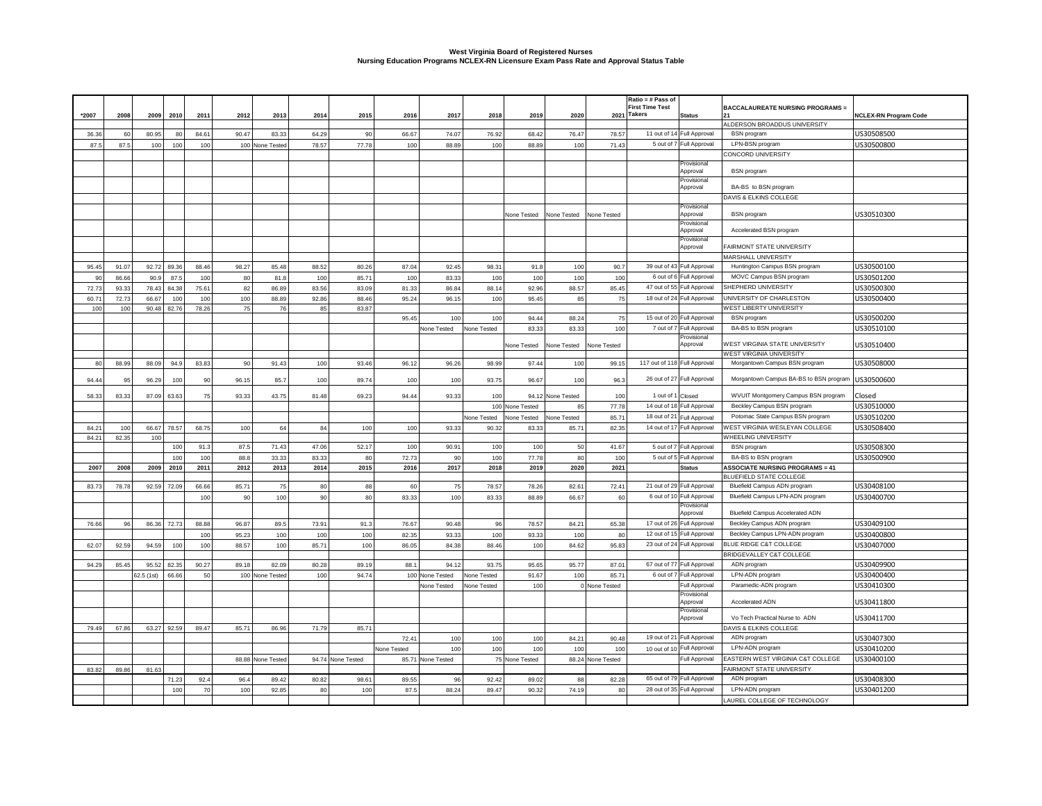## **West Virginia Board of Registered Nurses Nursing Education Programs NCLEX-RN Licensure Exam Pass Rate and Approval Status Table**

|       |       |                     |             |       |             |       |                   |             |                   |             |                 |                   | Ratio = # Pass of |                                       |                            |                                         |                              |
|-------|-------|---------------------|-------------|-------|-------------|-------|-------------------|-------------|-------------------|-------------|-----------------|-------------------|-------------------|---------------------------------------|----------------------------|-----------------------------------------|------------------------------|
|       |       |                     |             |       |             |       |                   |             |                   |             |                 |                   |                   | <b>First Time Test</b><br>2021 Takers | <b>Status</b>              | <b>BACCALAUREATE NURSING PROGRAMS =</b> |                              |
| *2007 | 2008  | 2009 2010           | 2011        | 2012  | 2013        | 2014  | 2015              | 2016        | 2017              | 2018        | 2019            | 2020              |                   |                                       |                            | ALDERSON BROADDUS UNIVERSITY            | <b>NCLEX-RN Program Code</b> |
| 36.36 | 60    | 80.95               | 84.61<br>80 | 90.47 | 83.33       | 64.29 | 90                | 66.67       | 74.07             | 76.92       | 68.42           | 76.47             | 78.57             |                                       | 11 out of 14 Full Approval | <b>BSN</b> program                      | US30508500                   |
| 87.5  | 87.5  | 100<br>100          | 100         | 100   |             | 78.57 | 77.78             | 100         | 88.89             | 100         | 88.89           | 100               | 71.43             |                                       | 5 out of 7 Full Approval   | LPN-BSN program                         |                              |
|       |       |                     |             |       | None Tested |       |                   |             |                   |             |                 |                   |                   |                                       |                            | CONCORD UNIVERSITY                      | US30500800                   |
|       |       |                     |             |       |             |       |                   |             |                   |             |                 |                   |                   |                                       | Provisiona                 |                                         |                              |
|       |       |                     |             |       |             |       |                   |             |                   |             |                 |                   |                   |                                       | Approval                   | <b>BSN</b> program                      |                              |
|       |       |                     |             |       |             |       |                   |             |                   |             |                 |                   |                   |                                       | Provisiona                 |                                         |                              |
|       |       |                     |             |       |             |       |                   |             |                   |             |                 |                   |                   |                                       | Approval                   | BA-BS to BSN program                    |                              |
|       |       |                     |             |       |             |       |                   |             |                   |             |                 |                   |                   |                                       |                            | DAVIS & ELKINS COLLEGE                  |                              |
|       |       |                     |             |       |             |       |                   |             |                   |             |                 |                   |                   |                                       | Provisional<br>Approval    | <b>BSN</b> program                      | US30510300                   |
|       |       |                     |             |       |             |       |                   |             |                   |             | None Tested     | None Tested       | None Tested       |                                       | Provisional                |                                         |                              |
|       |       |                     |             |       |             |       |                   |             |                   |             |                 |                   |                   |                                       | Approval                   | Accelerated BSN program                 |                              |
|       |       |                     |             |       |             |       |                   |             |                   |             |                 |                   |                   |                                       | Provisional                |                                         |                              |
|       |       |                     |             |       |             |       |                   |             |                   |             |                 |                   |                   |                                       | Approval                   | FAIRMONT STATE UNIVERSITY               |                              |
|       |       |                     |             |       |             |       |                   |             |                   |             |                 |                   |                   |                                       |                            | MARSHALL UNIVERSITY                     |                              |
| 95.45 | 91.07 | 92.72 89.36         | 88.46       | 98.27 | 85.48       | 88.52 | 80.26             | 87.04       | 92.45             | 98.31       | 91.8            | 100               | 90.7              |                                       | 39 out of 43 Full Approval | Huntington Campus BSN program           | US30500100                   |
| 90    | 86.66 | 90.9<br>87.5        | 100         | 80    | 81.8        | 100   | 85.7              | 100         | 83.33             | 100         | 100             | 100               | 100               | 6 out of 6                            | Full Approval              | MOVC Campus BSN program                 | US30501200                   |
| 72.73 | 93.33 | 78.43 84.38         | 75.61       | 82    | 86.89       | 83.56 | 83.09             | 81.33       | 86.84             | 88.14       | 92.96           | 88.57             | 85.45             |                                       | 47 out of 55 Full Approval | SHEPHERD UNIVERSITY                     | US30500300                   |
| 60.71 | 72.73 | 66.67<br>100        | 100         | 100   | 88.89       | 92.86 | 88.46             | 95.24       | 96.15             | 100         | 95.45           | 85                | 75                |                                       | 18 out of 24 Full Approval | UNIVERSITY OF CHARLESTON                | US30500400                   |
| 100   | 100   | 90.48 82.76         | 78.26       | 75    | 76          | 85    | 83.87             |             |                   |             |                 |                   |                   |                                       |                            | <b>WEST LIBERTY UNIVERSITY</b>          |                              |
|       |       |                     |             |       |             |       |                   | 95.45       | 100               | 100         | 94.44           | 88.24             | 75                |                                       | 15 out of 20 Full Approval | <b>BSN</b> program                      | US30500200                   |
|       |       |                     |             |       |             |       |                   |             | None Tested       | None Tested | 83.33           | 83.33             | 100               |                                       | 7 out of 7 Full Approval   | BA-BS to BSN program                    | US30510100                   |
|       |       |                     |             |       |             |       |                   |             |                   |             |                 |                   |                   |                                       | Provisional                |                                         |                              |
|       |       |                     |             |       |             |       |                   |             |                   |             | None Tested     | None Tested       | None Tested       |                                       | Approval                   | WEST VIRGINIA STATE UNIVERSITY          | US30510400                   |
|       |       |                     |             |       |             |       |                   |             |                   |             |                 |                   |                   |                                       |                            | WEST VIRGINIA UNIVERSITY                |                              |
| 80    | 88.99 | 88.09<br>94.9       | 83.83       | 90    | 91.43       | 100   | 93.46             | 96.12       | 96.26             | 98.99       | 97.44           | 100               | 99.15             | 117 out of 118 Full Approval          |                            | Morgantown Campus BSN program           | US30508000                   |
| 94.4  | 95    | 96.29<br>100        | 90          | 96.15 | 85.7        | 100   | 89.74             | 100         | 100               | 93.75       | 96.67           | 100               | 96.3              |                                       | 26 out of 27 Full Approval | Morgantown Campus BA-BS to BSN program  | US30500600                   |
|       |       |                     |             |       |             |       |                   |             |                   |             |                 |                   |                   |                                       |                            |                                         |                              |
| 58.33 | 83.33 | 87.09<br>63.63      | 75          | 93.33 | 43.75       | 81.48 | 69.23             | 94.44       | 93.33             | 100         |                 | 94.12 None Tested | 100               | 1 out of 1                            | Closed                     | WVUIT Montgomery Campus BSN program     | Closed                       |
|       |       |                     |             |       |             |       |                   |             |                   |             | 100 None Tested | 85                | 77.78             |                                       | 14 out of 18 Full Approval | Beckley Campus BSN program              | US30510000                   |
|       |       |                     |             |       |             |       |                   |             |                   | None Tested | None Tested     | None Tested       | 85.71             |                                       | 18 out of 21 Full Approval | Potomac State Campus BSN program        | US30510200                   |
| 84.21 | 100   | 66.67 78.57         | 68.75       | 100   | 64          | 84    | 100               | 100         | 93.33             | 90.32       | 83.33           | 85.71             | 82.35             |                                       | 14 out of 17 Full Approval | WEST VIRGINIA WESLEYAN COLLEGE          | US30508400                   |
| 84.21 | 82.35 | 100                 |             |       |             |       |                   |             |                   |             |                 |                   |                   |                                       |                            | WHEELING UNIVERSITY                     |                              |
|       |       | 100                 | 91.3        | 87.5  | 71.43       | 47.06 | 52.17             | 100         | 90.91             | 100         | 100             | 50                | 41.67             |                                       | 5 out of 7 Full Approval   | <b>BSN</b> program                      | US30508300                   |
|       |       | 100                 | 100         | 88.8  | 33.33       | 83.33 | 80                | 72.73       | 90                | 100         | 77.78           | 80                | 100               | 5 out of 5                            | Full Approval              | BA-BS to BSN program                    | US30500900                   |
| 2007  | 2008  | 2009 2010           | 2011        | 2012  | 2013        | 2014  | 2015              | 2016        | 2017              | 2018        | 2019            | 2020              | 2021              |                                       | <b>Status</b>              | <b>ASSOCIATE NURSING PROGRAMS = 41</b>  |                              |
|       |       |                     |             |       |             |       |                   |             |                   |             |                 |                   |                   |                                       |                            | BLUEFIELD STATE COLLEGE                 |                              |
| 83.73 | 78.78 | 92.59 72.09         | 66.66       | 85.71 | 75          | 80    | 88                | 60          | 75                | 78.57       | 78.26           | 82.61             | 72.41             |                                       | 21 out of 29 Full Approval | Bluefield Campus ADN program            | US30408100                   |
|       |       |                     | 100         | 90    | 100         | 90    | 80                | 83.33       | 100               | 83.33       | 88.89           | 66.67             | 60                |                                       | 6 out of 10 Full Approval  | Bluefield Campus LPN-ADN program        | US30400700                   |
|       |       |                     |             |       |             |       |                   |             |                   |             |                 |                   |                   |                                       | Provisional<br>Approval    | <b>Bluefield Campus Accelerated ADN</b> |                              |
|       |       |                     |             |       |             |       |                   |             |                   |             |                 |                   |                   |                                       |                            |                                         |                              |
| 76.66 | 96    | 86.36 72.73         | 88.88       | 96.87 | 89.5        | 73.91 | 91.3              | 76.67       | 90.48             | 96          | 78.57           | 84.21             | 65.38             |                                       | 17 out of 26 Full Approval | Beckley Campus ADN program              | US30409100                   |
|       |       |                     | 100         | 95.23 | 100         | 100   | 100               | 82.35       | 93.33             | 100         | 93.33           | 100               | 80                |                                       | 12 out of 15 Full Approval | Beckley Campus LPN-ADN program          | US30400800                   |
| 62.07 | 92.59 | 94.59<br>100        | 100         | 88.57 | 100         | 85.71 | 100               | 86.05       | 84.38             | 88.46       | 100             | 84.62             | 95.83             |                                       | 23 out of 24 Full Approval | BLUE RIDGE C&T COLLEGE                  | US30407000                   |
|       |       |                     |             |       |             |       |                   |             |                   |             |                 |                   |                   |                                       |                            | BRIDGEVALLEY C&T COLLEGE                |                              |
| 94.29 | 85.45 | 82.35<br>95.52      | 90.27       | 89.18 | 82.09       | 80.28 | 89.19             | 88.1        | 94.12             | 93.75       | 95.65           | 95.77             | 87.01             |                                       | 67 out of 77 Full Approval | ADN program                             | US30409900                   |
|       |       | 62.5 (1st)<br>66.66 | 50          | 100   | None Tested | 100   | 94.74             |             | 100 None Tested   | None Tested | 91.67           | 100               | 85.71             |                                       | 6 out of 7 Full Approval   | LPN-ADN program                         | US30400400                   |
|       |       |                     |             |       |             |       |                   |             | None Tested       | None Tested | 100             |                   | 0 None Tested     |                                       | Full Approval              | Paramedic-ADN program                   | US30410300                   |
|       |       |                     |             |       |             |       |                   |             |                   |             |                 |                   |                   |                                       | Provisional<br>Approval    | Accelerated ADN                         | US30411800                   |
|       |       |                     |             |       |             |       |                   |             |                   |             |                 |                   |                   |                                       | Provisiona                 |                                         |                              |
|       |       |                     |             |       |             |       |                   |             |                   |             |                 |                   |                   |                                       | Approval                   | Vo Tech Practical Nurse to ADN          | US30411700                   |
| 79.49 | 67.86 | 63.27 92.59         | 89.47       | 85.71 | 86.96       | 71.79 | 85.71             |             |                   |             |                 |                   |                   |                                       |                            | DAVIS & ELKINS COLLEGE                  |                              |
|       |       |                     |             |       |             |       |                   | 72.41       | 100               | 100         | 100             | 84.21             | 90.48             | 19 out of 21                          | Full Approval              | ADN program                             | US30407300                   |
|       |       |                     |             |       |             |       |                   | None Tested | 100               | 100         | 100             | 100               | 100               |                                       | 10 out of 10 Full Approval | LPN-ADN program                         | US30410200                   |
|       |       |                     |             | 88.88 | None Tested |       | 94.74 None Tested |             | 85.71 None Tested |             | 75 None Tested  |                   | 88.24 None Tested |                                       | Full Approval              | EASTERN WEST VIRGINIA C&T COLLEGE       | US30400100                   |
| 83.82 | 89.86 | 81.63               |             |       |             |       |                   |             |                   |             |                 |                   |                   |                                       |                            | FAIRMONT STATE UNIVERSITY               |                              |
|       |       | 71.23               | 92.4        | 96.4  | 89.42       | 80.82 | 98.61             | 89.55       | 96                | 92.42       | 89.02           | 88                | 82.28             |                                       | 65 out of 79 Full Approval | ADN program                             | US30408300                   |
|       |       | 100                 | 70          | 100   | 92.85       | 80    | 100               | 87.5        | 88.24             | 89.47       | 90.32           | 74.19             | 80                |                                       | 28 out of 35 Full Approval | LPN-ADN program                         | US30401200                   |
|       |       |                     |             |       |             |       |                   |             |                   |             |                 |                   |                   |                                       |                            | LAUREL COLLEGE OF TECHNOLOGY            |                              |
|       |       |                     |             |       |             |       |                   |             |                   |             |                 |                   |                   |                                       |                            |                                         |                              |